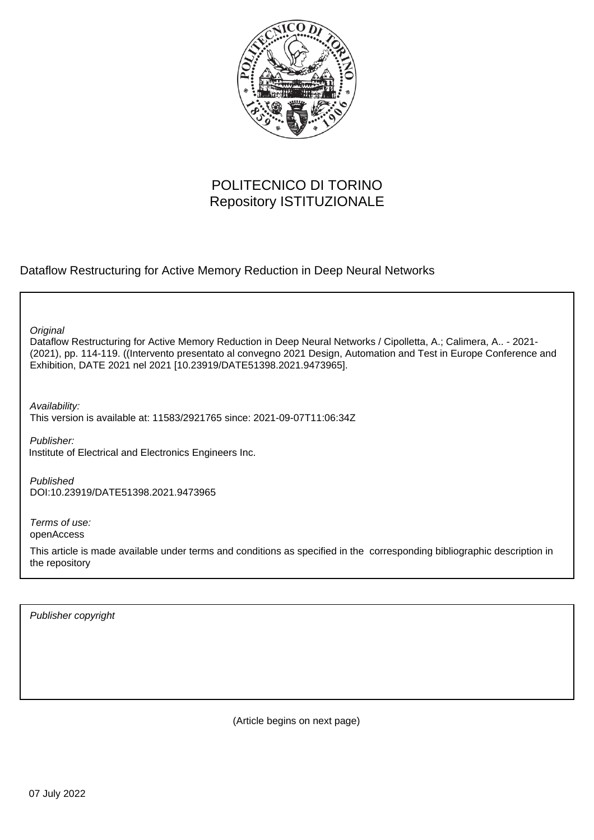

# POLITECNICO DI TORINO Repository ISTITUZIONALE

Dataflow Restructuring for Active Memory Reduction in Deep Neural Networks

**Original** 

Dataflow Restructuring for Active Memory Reduction in Deep Neural Networks / Cipolletta, A.; Calimera, A.. - 2021- (2021), pp. 114-119. ((Intervento presentato al convegno 2021 Design, Automation and Test in Europe Conference and Exhibition, DATE 2021 nel 2021 [10.23919/DATE51398.2021.9473965].

Availability:

This version is available at: 11583/2921765 since: 2021-09-07T11:06:34Z

Publisher: Institute of Electrical and Electronics Engineers Inc.

Published DOI:10.23919/DATE51398.2021.9473965

Terms of use: openAccess

This article is made available under terms and conditions as specified in the corresponding bibliographic description in the repository

Publisher copyright

(Article begins on next page)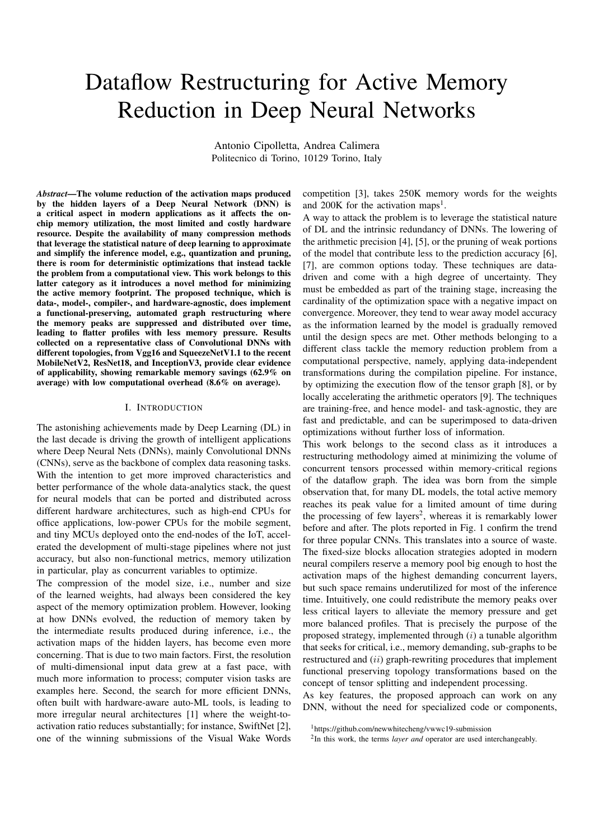# Dataflow Restructuring for Active Memory Reduction in Deep Neural Networks

Antonio Cipolletta, Andrea Calimera Politecnico di Torino, 10129 Torino, Italy

*Abstract*—The volume reduction of the activation maps produced by the hidden layers of a Deep Neural Network (DNN) is a critical aspect in modern applications as it affects the onchip memory utilization, the most limited and costly hardware resource. Despite the availability of many compression methods that leverage the statistical nature of deep learning to approximate and simplify the inference model, e.g., quantization and pruning, there is room for deterministic optimizations that instead tackle the problem from a computational view. This work belongs to this latter category as it introduces a novel method for minimizing the active memory footprint. The proposed technique, which is data-, model-, compiler-, and hardware-agnostic, does implement a functional-preserving, automated graph restructuring where the memory peaks are suppressed and distributed over time, leading to flatter profiles with less memory pressure. Results collected on a representative class of Convolutional DNNs with different topologies, from Vgg16 and SqueezeNetV1.1 to the recent MobileNetV2, ResNet18, and InceptionV3, provide clear evidence of applicability, showing remarkable memory savings (62.9% on average) with low computational overhead (8.6% on average).

#### I. INTRODUCTION

The astonishing achievements made by Deep Learning (DL) in the last decade is driving the growth of intelligent applications where Deep Neural Nets (DNNs), mainly Convolutional DNNs (CNNs), serve as the backbone of complex data reasoning tasks. With the intention to get more improved characteristics and better performance of the whole data-analytics stack, the quest for neural models that can be ported and distributed across different hardware architectures, such as high-end CPUs for office applications, low-power CPUs for the mobile segment, and tiny MCUs deployed onto the end-nodes of the IoT, accelerated the development of multi-stage pipelines where not just accuracy, but also non-functional metrics, memory utilization in particular, play as concurrent variables to optimize.

The compression of the model size, i.e., number and size of the learned weights, had always been considered the key aspect of the memory optimization problem. However, looking at how DNNs evolved, the reduction of memory taken by the intermediate results produced during inference, i.e., the activation maps of the hidden layers, has become even more concerning. That is due to two main factors. First, the resolution of multi-dimensional input data grew at a fast pace, with much more information to process; computer vision tasks are examples here. Second, the search for more efficient DNNs, often built with hardware-aware auto-ML tools, is leading to more irregular neural architectures [1] where the weight-toactivation ratio reduces substantially; for instance, SwiftNet [2], one of the winning submissions of the Visual Wake Words

competition [3], takes 250K memory words for the weights and  $200K$  for the activation maps<sup>1</sup>.

A way to attack the problem is to leverage the statistical nature of DL and the intrinsic redundancy of DNNs. The lowering of the arithmetic precision [4], [5], or the pruning of weak portions of the model that contribute less to the prediction accuracy [6], [7], are common options today. These techniques are datadriven and come with a high degree of uncertainty. They must be embedded as part of the training stage, increasing the cardinality of the optimization space with a negative impact on convergence. Moreover, they tend to wear away model accuracy as the information learned by the model is gradually removed until the design specs are met. Other methods belonging to a different class tackle the memory reduction problem from a computational perspective, namely, applying data-independent transformations during the compilation pipeline. For instance, by optimizing the execution flow of the tensor graph [8], or by locally accelerating the arithmetic operators [9]. The techniques are training-free, and hence model- and task-agnostic, they are fast and predictable, and can be superimposed to data-driven optimizations without further loss of information.

This work belongs to the second class as it introduces a restructuring methodology aimed at minimizing the volume of concurrent tensors processed within memory-critical regions of the dataflow graph. The idea was born from the simple observation that, for many DL models, the total active memory reaches its peak value for a limited amount of time during the processing of few layers<sup>2</sup>, whereas it is remarkably lower before and after. The plots reported in Fig. 1 confirm the trend for three popular CNNs. This translates into a source of waste. The fixed-size blocks allocation strategies adopted in modern neural compilers reserve a memory pool big enough to host the activation maps of the highest demanding concurrent layers, but such space remains underutilized for most of the inference time. Intuitively, one could redistribute the memory peaks over less critical layers to alleviate the memory pressure and get more balanced profiles. That is precisely the purpose of the proposed strategy, implemented through  $(i)$  a tunable algorithm that seeks for critical, i.e., memory demanding, sub-graphs to be restructured and (ii) graph-rewriting procedures that implement functional preserving topology transformations based on the concept of tensor splitting and independent processing.

As key features, the proposed approach can work on any DNN, without the need for specialized code or components,

<sup>1</sup>https://github.com/newwhitecheng/vwwc19-submission

<sup>&</sup>lt;sup>2</sup>In this work, the terms *layer and* operator are used interchangeably.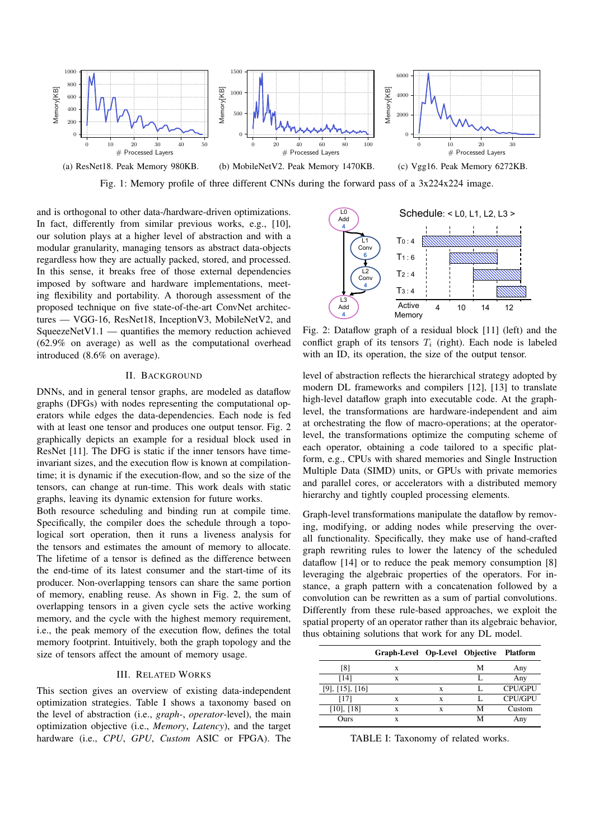

Fig. 1: Memory profile of three different CNNs during the forward pass of a 3x224x224 image.

and is orthogonal to other data-/hardware-driven optimizations. In fact, differently from similar previous works, e.g., [10], our solution plays at a higher level of abstraction and with a modular granularity, managing tensors as abstract data-objects regardless how they are actually packed, stored, and processed. In this sense, it breaks free of those external dependencies imposed by software and hardware implementations, meeting flexibility and portability. A thorough assessment of the proposed technique on five state-of-the-art ConvNet architectures — VGG-16, ResNet18, InceptionV3, MobileNetV2, and SqueezeNetV1.1 — quantifies the memory reduction achieved (62.9% on average) as well as the computational overhead introduced (8.6% on average).

# II. BACKGROUND

DNNs, and in general tensor graphs, are modeled as dataflow graphs (DFGs) with nodes representing the computational operators while edges the data-dependencies. Each node is fed with at least one tensor and produces one output tensor. Fig. 2 graphically depicts an example for a residual block used in ResNet [11]. The DFG is static if the inner tensors have timeinvariant sizes, and the execution flow is known at compilationtime; it is dynamic if the execution-flow, and so the size of the tensors, can change at run-time. This work deals with static graphs, leaving its dynamic extension for future works.

Both resource scheduling and binding run at compile time. Specifically, the compiler does the schedule through a topological sort operation, then it runs a liveness analysis for the tensors and estimates the amount of memory to allocate. The lifetime of a tensor is defined as the difference between the end-time of its latest consumer and the start-time of its producer. Non-overlapping tensors can share the same portion of memory, enabling reuse. As shown in Fig. 2, the sum of overlapping tensors in a given cycle sets the active working memory, and the cycle with the highest memory requirement, i.e., the peak memory of the execution flow, defines the total memory footprint. Intuitively, both the graph topology and the size of tensors affect the amount of memory usage.

#### III. RELATED WORKS

This section gives an overview of existing data-independent optimization strategies. Table I shows a taxonomy based on the level of abstraction (i.e., *graph*-, *operator*-level), the main optimization objective (i.e., *Memory*, *Latency*), and the target hardware (i.e., *CPU*, *GPU*, *Custom* ASIC or FPGA). The



Fig. 2: Dataflow graph of a residual block [11] (left) and the conflict graph of its tensors  $T_i$  (right). Each node is labeled with an ID, its operation, the size of the output tensor.

level of abstraction reflects the hierarchical strategy adopted by modern DL frameworks and compilers [12], [13] to translate high-level dataflow graph into executable code. At the graphlevel, the transformations are hardware-independent and aim at orchestrating the flow of macro-operations; at the operatorlevel, the transformations optimize the computing scheme of each operator, obtaining a code tailored to a specific platform, e.g., CPUs with shared memories and Single Instruction Multiple Data (SIMD) units, or GPUs with private memories and parallel cores, or accelerators with a distributed memory hierarchy and tightly coupled processing elements.

Graph-level transformations manipulate the dataflow by removing, modifying, or adding nodes while preserving the overall functionality. Specifically, they make use of hand-crafted graph rewriting rules to lower the latency of the scheduled dataflow [14] or to reduce the peak memory consumption [8] leveraging the algebraic properties of the operators. For instance, a graph pattern with a concatenation followed by a convolution can be rewritten as a sum of partial convolutions. Differently from these rule-based approaches, we exploit the spatial property of an operator rather than its algebraic behavior, thus obtaining solutions that work for any DL model.

|                         | Graph-Level Op-Level Objective Platform |   |   |                |
|-------------------------|-----------------------------------------|---|---|----------------|
| [8]                     | X                                       |   | М | Any            |
| [14]                    | X                                       |   |   | Any            |
| $[9]$ , $[15]$ , $[16]$ |                                         | X |   | <b>CPU/GPU</b> |
| [17]                    | X                                       | X |   | <b>CPU/GPU</b> |
| $[10]$ , $[18]$         | X                                       | X | М | Custom         |
| <b>Ours</b>             | x                                       |   | м | Any            |

TABLE I: Taxonomy of related works.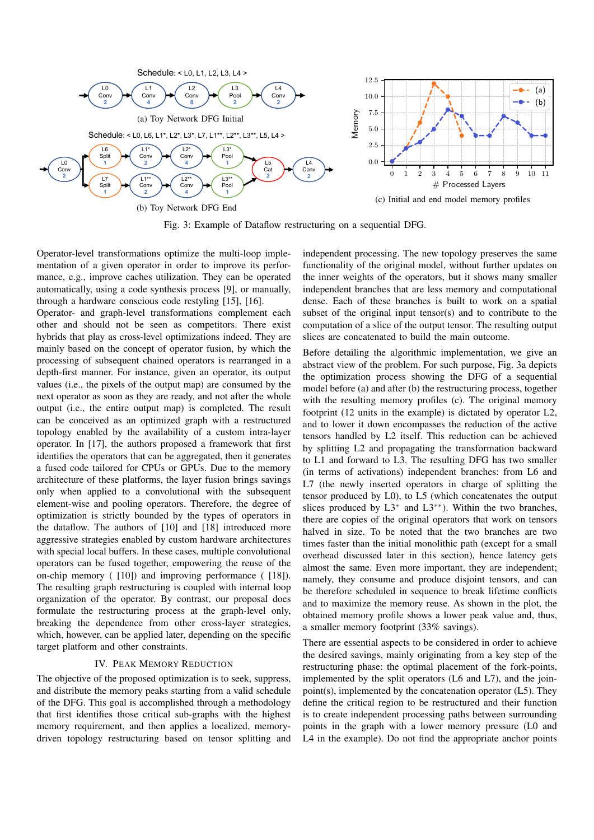

Fig. 3: Example of Dataflow restructuring on a sequential DFG.

Operator-level transformations optimize the multi-loop implementation of a given operator in order to improve its performance, e.g., improve caches utilization. They can be operated automatically, using a code synthesis process [9], or manually, through a hardware conscious code restyling [15], [16].

Operator- and graph-level transformations complement each other and should not be seen as competitors. There exist hybrids that play as cross-level optimizations indeed. They are mainly based on the concept of operator fusion, by which the processing of subsequent chained operators is rearranged in a depth-first manner. For instance, given an operator, its output values (i.e., the pixels of the output map) are consumed by the next operator as soon as they are ready, and not after the whole output (i.e., the entire output map) is completed. The result can be conceived as an optimized graph with a restructured topology enabled by the availability of a custom intra-layer operator. In [17], the authors proposed a framework that first identifies the operators that can be aggregated, then it generates a fused code tailored for CPUs or GPUs. Due to the memory architecture of these platforms, the layer fusion brings savings only when applied to a convolutional with the subsequent element-wise and pooling operators. Therefore, the degree of optimization is strictly bounded by the types of operators in the dataflow. The authors of [10] and [18] introduced more aggressive strategies enabled by custom hardware architectures with special local buffers. In these cases, multiple convolutional operators can be fused together, empowering the reuse of the on-chip memory ( [10]) and improving performance ( [18]). The resulting graph restructuring is coupled with internal loop organization of the operator. By contrast, our proposal does formulate the restructuring process at the graph-level only, breaking the dependence from other cross-layer strategies, which, however, can be applied later, depending on the specific target platform and other constraints.

### IV. PEAK MEMORY REDUCTION

The objective of the proposed optimization is to seek, suppress, and distribute the memory peaks starting from a valid schedule of the DFG. This goal is accomplished through a methodology that first identifies those critical sub-graphs with the highest memory requirement, and then applies a localized, memorydriven topology restructuring based on tensor splitting and

independent processing. The new topology preserves the same functionality of the original model, without further updates on the inner weights of the operators, but it shows many smaller independent branches that are less memory and computational dense. Each of these branches is built to work on a spatial subset of the original input tensor(s) and to contribute to the computation of a slice of the output tensor. The resulting output slices are concatenated to build the main outcome.

Before detailing the algorithmic implementation, we give an abstract view of the problem. For such purpose, Fig. 3a depicts the optimization process showing the DFG of a sequential model before (a) and after (b) the restructuring process, together with the resulting memory profiles (c). The original memory footprint (12 units in the example) is dictated by operator L2, and to lower it down encompasses the reduction of the active tensors handled by L2 itself. This reduction can be achieved by splitting L2 and propagating the transformation backward to L1 and forward to L3. The resulting DFG has two smaller (in terms of activations) independent branches: from L6 and L7 (the newly inserted operators in charge of splitting the tensor produced by L0), to L5 (which concatenates the output slices produced by L3<sup>∗</sup> and L3∗∗). Within the two branches, there are copies of the original operators that work on tensors halved in size. To be noted that the two branches are two times faster than the initial monolithic path (except for a small overhead discussed later in this section), hence latency gets almost the same. Even more important, they are independent; namely, they consume and produce disjoint tensors, and can be therefore scheduled in sequence to break lifetime conflicts and to maximize the memory reuse. As shown in the plot, the obtained memory profile shows a lower peak value and, thus, a smaller memory footprint (33% savings).

There are essential aspects to be considered in order to achieve the desired savings, mainly originating from a key step of the restructuring phase: the optimal placement of the fork-points, implemented by the split operators (L6 and L7), and the joinpoint(s), implemented by the concatenation operator (L5). They define the critical region to be restructured and their function is to create independent processing paths between surrounding points in the graph with a lower memory pressure (L0 and L4 in the example). Do not find the appropriate anchor points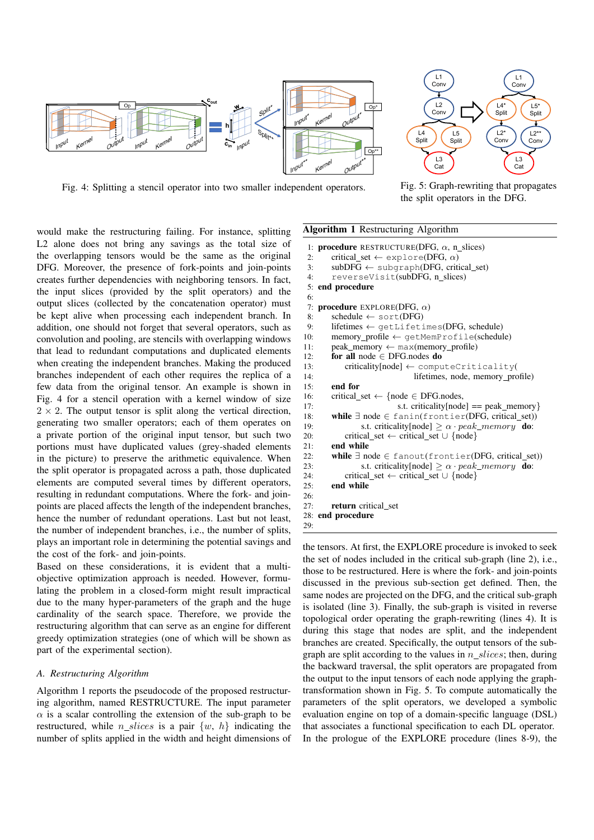

Fig. 4: Splitting a stencil operator into two smaller independent operators.



Fig. 5: Graph-rewriting that propagates the split operators in the DFG.

would make the restructuring failing. For instance, splitting L<sub>2</sub> alone does not bring any savings as the total size of the overlapping tensors would be the same as the original DFG. Moreover, the presence of fork-points and join-points creates further dependencies with neighboring tensors. In fact, the input slices (provided by the split operators) and the output slices (collected by the concatenation operator) must be kept alive when processing each independent branch. In addition, one should not forget that several operators, such as convolution and pooling, are stencils with overlapping windows that lead to redundant computations and duplicated elements when creating the independent branches. Making the produced branches independent of each other requires the replica of a few data from the original tensor. An example is shown in Fig. 4 for a stencil operation with a kernel window of size  $2 \times 2$ . The output tensor is split along the vertical direction, generating two smaller operators; each of them operates on a private portion of the original input tensor, but such two portions must have duplicated values (grey-shaded elements in the picture) to preserve the arithmetic equivalence. When the split operator is propagated across a path, those duplicated elements are computed several times by different operators, resulting in redundant computations. Where the fork- and joinpoints are placed affects the length of the independent branches, hence the number of redundant operations. Last but not least, the number of independent branches, i.e., the number of splits, plays an important role in determining the potential savings and the cost of the fork- and join-points.

Based on these considerations, it is evident that a multiobjective optimization approach is needed. However, formulating the problem in a closed-form might result impractical due to the many hyper-parameters of the graph and the huge cardinality of the search space. Therefore, we provide the restructuring algorithm that can serve as an engine for different greedy optimization strategies (one of which will be shown as part of the experimental section).

#### *A. Restructuring Algorithm*

Algorithm 1 reports the pseudocode of the proposed restructuring algorithm, named RESTRUCTURE. The input parameter  $\alpha$  is a scalar controlling the extension of the sub-graph to be restructured, while *n* slices is a pair  $\{w, h\}$  indicating the number of splits applied in the width and height dimensions of

```
Algorithm 1 Restructuring Algorithm
 1: procedure RESTRUCTURE(DFG, \alpha, n slices)
2: critical_set \leftarrow explore(DFG, \alpha)
3: subDFG \leftarrow subgraph(DFG, critical_set)4: reverseVisit(subDFG, n slices)
5: end procedure
6:
7: procedure EXPLORE(DFG, \alpha)<br>8: schedule \leftarrow sort(DFG)
       schedule \leftarrow sort(DFG)
9: lifetimes \leftarrow getLifetimes(DFG, schedule)
10: memory profile ← getMemProfile(schedule)
11: peak_memory \leftarrow max(memory_profile)
12: for all node ∈ DFG.nodes do
13: criticality[node] \leftarrow computeCriticality(
14: lifetimes, node, memory_profile)<br>15: end for
       end for
16: critical_set \leftarrow {node \in DFG.nodes,
17: s.t. criticality[node] == peak memory}
18: while ∃ node ∈ fanin(frontier(DFG, critical set))
19: s.t. criticality[node] \geq \alpha \cdot peak\_memory do:
20: critical_set ← critical_set ∪ {node}
21: end while
22: while \exists node \in fanout(frontier(DFG, critical set))
23: s.t. criticality[node] \geq \alpha \cdot peak\_memory do:
24: critical set ← critical set \cup {node}
25: end while
26:
27: return critical_set
28: end procedure
29:
the tensors. At first, the EXPLORE procedure is invoked to seek
```
the set of nodes included in the critical sub-graph (line 2), i.e., those to be restructured. Here is where the fork- and join-points discussed in the previous sub-section get defined. Then, the same nodes are projected on the DFG, and the critical sub-graph is isolated (line 3). Finally, the sub-graph is visited in reverse topological order operating the graph-rewriting (lines 4). It is during this stage that nodes are split, and the independent branches are created. Specifically, the output tensors of the subgraph are split according to the values in  $n_s$  slices; then, during the backward traversal, the split operators are propagated from the output to the input tensors of each node applying the graphtransformation shown in Fig. 5. To compute automatically the parameters of the split operators, we developed a symbolic evaluation engine on top of a domain-specific language (DSL) that associates a functional specification to each DL operator. In the prologue of the EXPLORE procedure (lines 8-9), the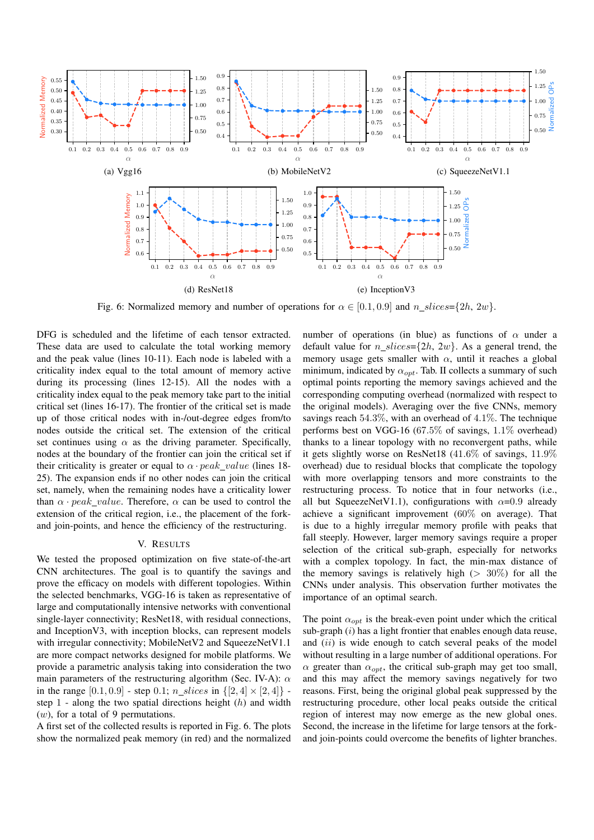

Fig. 6: Normalized memory and number of operations for  $\alpha \in [0.1, 0.9]$  and  $n\_slices = \{2h, 2w\}$ .

DFG is scheduled and the lifetime of each tensor extracted. These data are used to calculate the total working memory and the peak value (lines 10-11). Each node is labeled with a criticality index equal to the total amount of memory active during its processing (lines 12-15). All the nodes with a criticality index equal to the peak memory take part to the initial critical set (lines 16-17). The frontier of the critical set is made up of those critical nodes with in-/out-degree edges from/to nodes outside the critical set. The extension of the critical set continues using  $\alpha$  as the driving parameter. Specifically, nodes at the boundary of the frontier can join the critical set if their criticality is greater or equal to  $\alpha$  · peak value (lines 18-25). The expansion ends if no other nodes can join the critical set, namely, when the remaining nodes have a criticality lower than  $\alpha \cdot peak$  *value*. Therefore,  $\alpha$  can be used to control the extension of the critical region, i.e., the placement of the forkand join-points, and hence the efficiency of the restructuring.

## V. RESULTS

We tested the proposed optimization on five state-of-the-art CNN architectures. The goal is to quantify the savings and prove the efficacy on models with different topologies. Within the selected benchmarks, VGG-16 is taken as representative of large and computationally intensive networks with conventional single-layer connectivity; ResNet18, with residual connections, and InceptionV3, with inception blocks, can represent models with irregular connectivity; MobileNetV2 and SqueezeNetV1.1 are more compact networks designed for mobile platforms. We provide a parametric analysis taking into consideration the two main parameters of the restructuring algorithm (Sec. IV-A):  $\alpha$ in the range [0.1, 0.9] - step 0.1;  $n\_slices$  in  $\{[2,4] \times [2,4]\}$  step  $1$  - along the two spatial directions height  $(h)$  and width  $(w)$ , for a total of 9 permutations.

A first set of the collected results is reported in Fig. 6. The plots show the normalized peak memory (in red) and the normalized

number of operations (in blue) as functions of  $\alpha$  under a default value for  $n\_slices = \{2h, 2w\}$ . As a general trend, the memory usage gets smaller with  $\alpha$ , until it reaches a global minimum, indicated by  $\alpha_{opt}$ . Tab. II collects a summary of such optimal points reporting the memory savings achieved and the corresponding computing overhead (normalized with respect to the original models). Averaging over the five CNNs, memory savings reach 54.3%, with an overhead of 4.1%. The technique performs best on VGG-16 (67.5% of savings, 1.1% overhead) thanks to a linear topology with no reconvergent paths, while it gets slightly worse on ResNet18 (41.6% of savings, 11.9% overhead) due to residual blocks that complicate the topology with more overlapping tensors and more constraints to the restructuring process. To notice that in four networks (i.e., all but SqueezeNetV1.1), configurations with  $\alpha$ =0.9 already achieve a significant improvement (60% on average). That is due to a highly irregular memory profile with peaks that fall steeply. However, larger memory savings require a proper selection of the critical sub-graph, especially for networks with a complex topology. In fact, the min-max distance of the memory savings is relatively high  $(> 30\%)$  for all the CNNs under analysis. This observation further motivates the importance of an optimal search.

The point  $\alpha_{opt}$  is the break-even point under which the critical sub-graph  $(i)$  has a light frontier that enables enough data reuse, and *(ii)* is wide enough to catch several peaks of the model without resulting in a large number of additional operations. For  $\alpha$  greater than  $\alpha_{opt}$ , the critical sub-graph may get too small, and this may affect the memory savings negatively for two reasons. First, being the original global peak suppressed by the restructuring procedure, other local peaks outside the critical region of interest may now emerge as the new global ones. Second, the increase in the lifetime for large tensors at the forkand join-points could overcome the benefits of lighter branches.